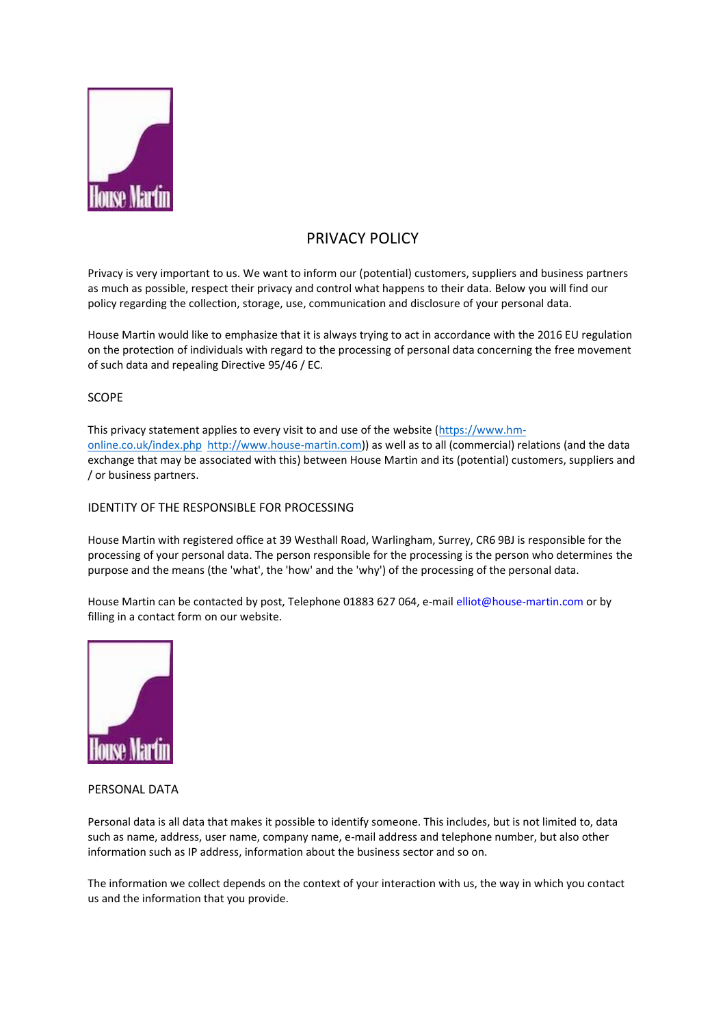

# PRIVACY POLICY

Privacy is very important to us. We want to inform our (potential) customers, suppliers and business partners as much as possible, respect their privacy and control what happens to their data. Below you will find our policy regarding the collection, storage, use, communication and disclosure of your personal data.

House Martin would like to emphasize that it is always trying to act in accordance with the 2016 EU regulation on the protection of individuals with regard to the processing of personal data concerning the free movement of such data and repealing Directive 95/46 / EC.

## SCOPE

This privacy statement applies to every visit to and use of the website [\(https://www.hm](https://www.hm-online.co.uk/index.php)[online.co.uk/index.php](https://www.hm-online.co.uk/index.php) [http://www.house-martin.com\)](http://www.house-martin.com/)) as well as to all (commercial) relations (and the data exchange that may be associated with this) between House Martin and its (potential) customers, suppliers and / or business partners.

## IDENTITY OF THE RESPONSIBLE FOR PROCESSING

House Martin with registered office at 39 Westhall Road, Warlingham, Surrey, CR6 9BJ is responsible for the processing of your personal data. The person responsible for the processing is the person who determines the purpose and the means (the 'what', the 'how' and the 'why') of the processing of the personal data.

House Martin can be contacted by post, Telephone 01883 627 064, e-mail elliot@house-martin.com or by filling in a contact form on our website.



## PERSONAL DATA

Personal data is all data that makes it possible to identify someone. This includes, but is not limited to, data such as name, address, user name, company name, e-mail address and telephone number, but also other information such as IP address, information about the business sector and so on.

The information we collect depends on the context of your interaction with us, the way in which you contact us and the information that you provide.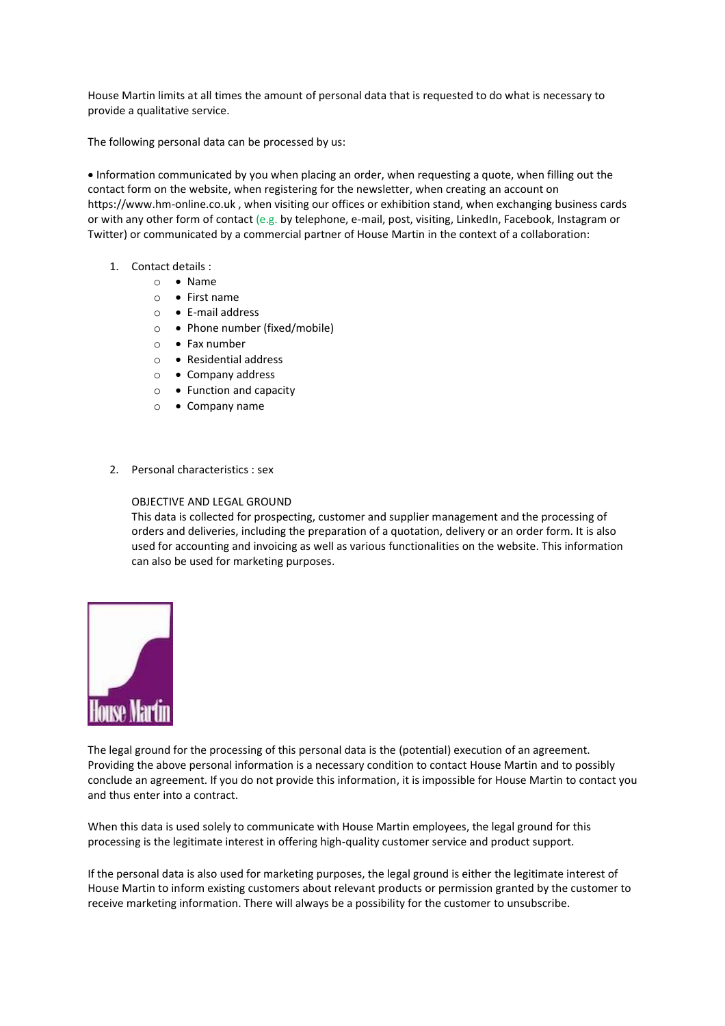House Martin limits at all times the amount of personal data that is requested to do what is necessary to provide a qualitative service.

The following personal data can be processed by us:

• Information communicated by you when placing an order, when requesting a quote, when filling out the contact form on the website, when registering for the newsletter, when creating an account on https://www.hm-online.co.uk, when visiting our offices or exhibition stand, when exchanging business cards or with any other form of contact (e.g. by telephone, e-mail, post, visiting, LinkedIn, Facebook, Instagram or Twitter) or communicated by a commercial partner of House Martin in the context of a collaboration:

- 1. Contact details :
	- o Name
	- o First name
	- o E-mail address
	- o Phone number (fixed/mobile)
	- o Fax number
	- o Residential address
	- o Company address
	- o Function and capacity
	- o Company name
- 2. Personal characteristics : sex

#### OBJECTIVE AND LEGAL GROUND

This data is collected for prospecting, customer and supplier management and the processing of orders and deliveries, including the preparation of a quotation, delivery or an order form. It is also used for accounting and invoicing as well as various functionalities on the website. This information can also be used for marketing purposes.



The legal ground for the processing of this personal data is the (potential) execution of an agreement. Providing the above personal information is a necessary condition to contact House Martin and to possibly conclude an agreement. If you do not provide this information, it is impossible for House Martin to contact you and thus enter into a contract.

When this data is used solely to communicate with House Martin employees, the legal ground for this processing is the legitimate interest in offering high-quality customer service and product support.

If the personal data is also used for marketing purposes, the legal ground is either the legitimate interest of House Martin to inform existing customers about relevant products or permission granted by the customer to receive marketing information. There will always be a possibility for the customer to unsubscribe.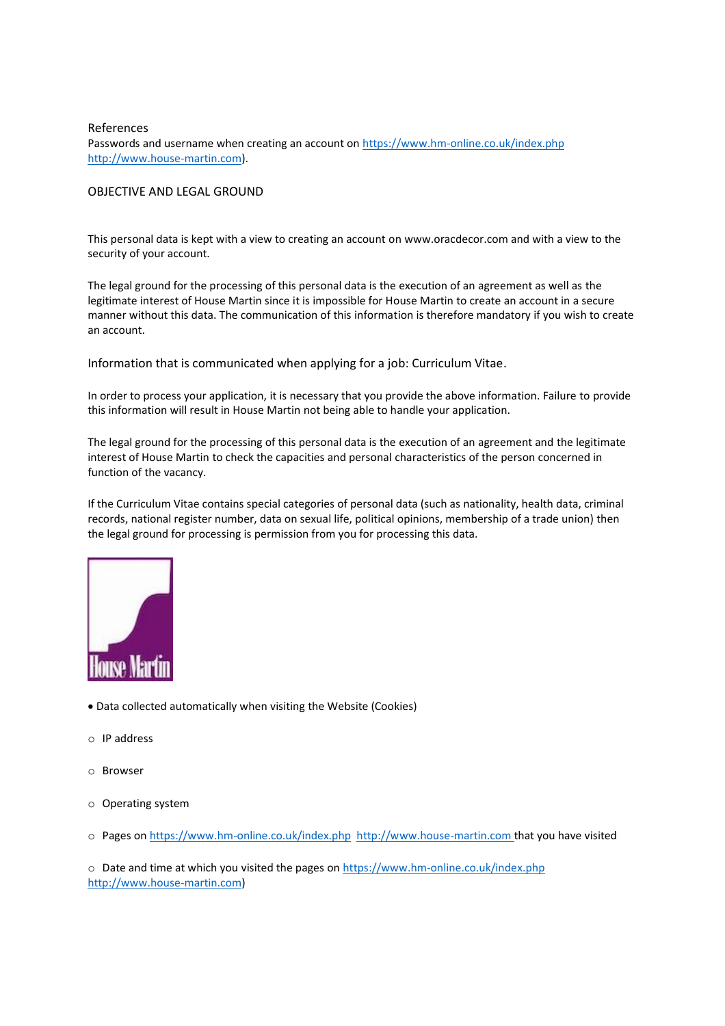## References Passwords and username when creating an account o[n https://www.hm-online.co.uk/index.php](https://www.hm-online.co.uk/index.php)  [http://www.house-martin.com\)](http://www.house-martin.com/).

## OBJECTIVE AND LEGAL GROUND

This personal data is kept with a view to creating an account on www.oracdecor.com and with a view to the security of your account.

The legal ground for the processing of this personal data is the execution of an agreement as well as the legitimate interest of House Martin since it is impossible for House Martin to create an account in a secure manner without this data. The communication of this information is therefore mandatory if you wish to create an account.

Information that is communicated when applying for a job: Curriculum Vitae.

In order to process your application, it is necessary that you provide the above information. Failure to provide this information will result in House Martin not being able to handle your application.

The legal ground for the processing of this personal data is the execution of an agreement and the legitimate interest of House Martin to check the capacities and personal characteristics of the person concerned in function of the vacancy.

If the Curriculum Vitae contains special categories of personal data (such as nationality, health data, criminal records, national register number, data on sexual life, political opinions, membership of a trade union) then the legal ground for processing is permission from you for processing this data.



- Data collected automatically when visiting the Website (Cookies)
- o IP address
- o Browser
- o Operating system
- o Pages o[n https://www.hm-online.co.uk/index.php](https://www.hm-online.co.uk/index.php) [http://www.house-martin.com](http://www.house-martin.com/) that you have visited

o Date and time at which you visited the pages on<https://www.hm-online.co.uk/index.php> [http://www.house-martin.com\)](http://www.house-martin.com/)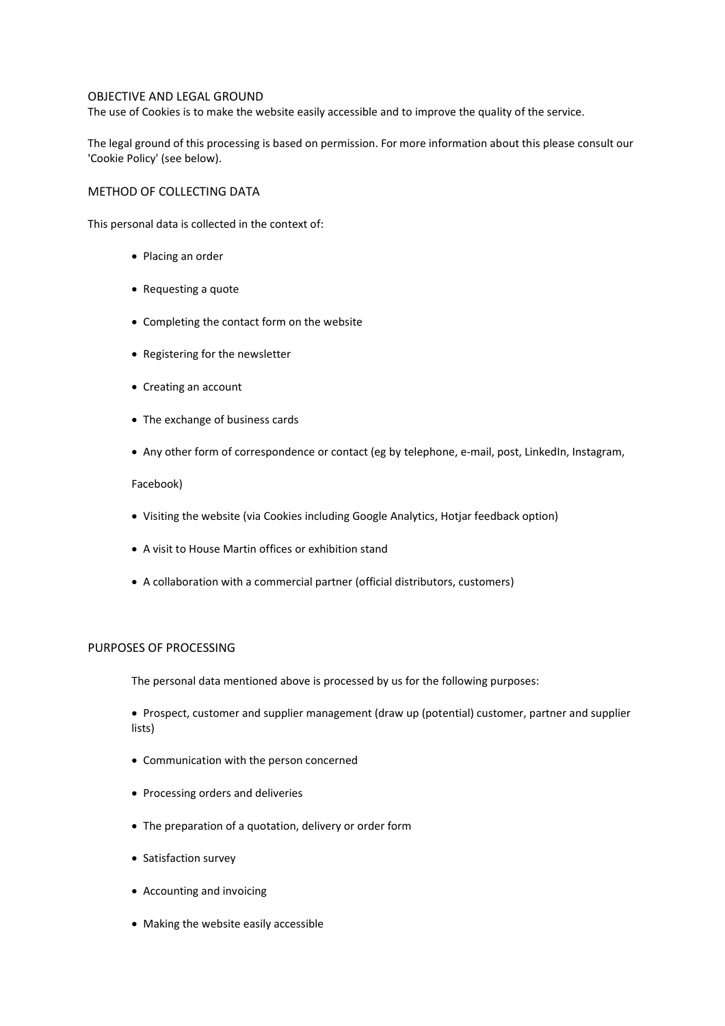#### OBJECTIVE AND LEGAL GROUND

The use of Cookies is to make the website easily accessible and to improve the quality of the service.

The legal ground of this processing is based on permission. For more information about this please consult our 'Cookie Policy' (see below).

#### METHOD OF COLLECTING DATA

This personal data is collected in the context of:

- Placing an order
- Requesting a quote
- Completing the contact form on the website
- Registering for the newsletter
- Creating an account
- The exchange of business cards
- Any other form of correspondence or contact (eg by telephone, e-mail, post, LinkedIn, Instagram,

#### Facebook)

- Visiting the website (via Cookies including Google Analytics, Hotjar feedback option)
- A visit to House Martin offices or exhibition stand
- A collaboration with a commercial partner (official distributors, customers)

## PURPOSES OF PROCESSING

The personal data mentioned above is processed by us for the following purposes:

• Prospect, customer and supplier management (draw up (potential) customer, partner and supplier lists)

- Communication with the person concerned
- Processing orders and deliveries
- The preparation of a quotation, delivery or order form
- Satisfaction survey
- Accounting and invoicing
- Making the website easily accessible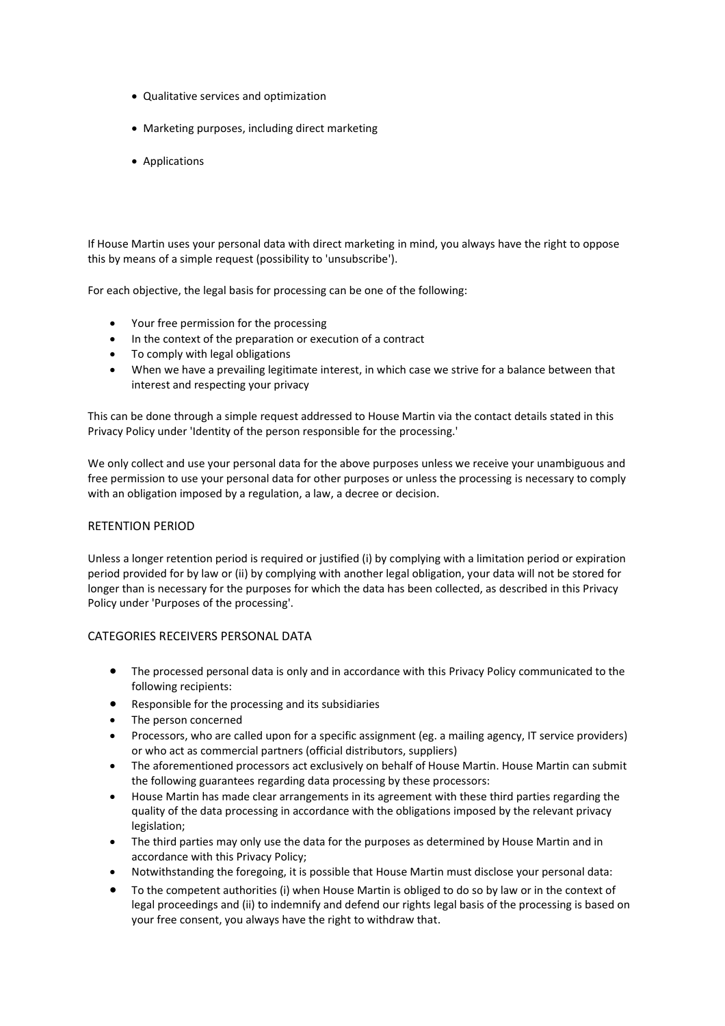- Qualitative services and optimization
- Marketing purposes, including direct marketing
- Applications

If House Martin uses your personal data with direct marketing in mind, you always have the right to oppose this by means of a simple request (possibility to 'unsubscribe').

For each objective, the legal basis for processing can be one of the following:

- Your free permission for the processing
- In the context of the preparation or execution of a contract
- To comply with legal obligations
- When we have a prevailing legitimate interest, in which case we strive for a balance between that interest and respecting your privacy

This can be done through a simple request addressed to House Martin via the contact details stated in this Privacy Policy under 'Identity of the person responsible for the processing.'

We only collect and use your personal data for the above purposes unless we receive your unambiguous and free permission to use your personal data for other purposes or unless the processing is necessary to comply with an obligation imposed by a regulation, a law, a decree or decision.

#### RETENTION PERIOD

Unless a longer retention period is required or justified (i) by complying with a limitation period or expiration period provided for by law or (ii) by complying with another legal obligation, your data will not be stored for longer than is necessary for the purposes for which the data has been collected, as described in this Privacy Policy under 'Purposes of the processing'.

## CATEGORIES RECEIVERS PERSONAL DATA

- The processed personal data is only and in accordance with this Privacy Policy communicated to the following recipients:
- Responsible for the processing and its subsidiaries
- The person concerned
- Processors, who are called upon for a specific assignment (eg. a mailing agency, IT service providers) or who act as commercial partners (official distributors, suppliers)
- The aforementioned processors act exclusively on behalf of House Martin. House Martin can submit the following guarantees regarding data processing by these processors:
- House Martin has made clear arrangements in its agreement with these third parties regarding the quality of the data processing in accordance with the obligations imposed by the relevant privacy legislation;
- The third parties may only use the data for the purposes as determined by House Martin and in accordance with this Privacy Policy;
- Notwithstanding the foregoing, it is possible that House Martin must disclose your personal data:
- To the competent authorities (i) when House Martin is obliged to do so by law or in the context of legal proceedings and (ii) to indemnify and defend our rights legal basis of the processing is based on your free consent, you always have the right to withdraw that.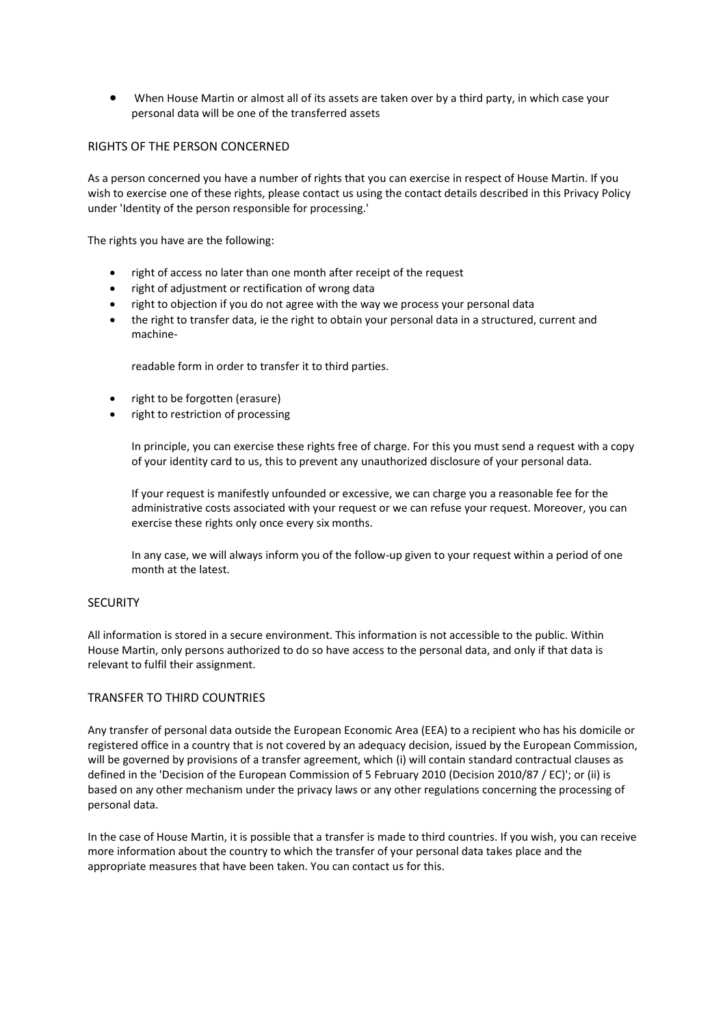• When House Martin or almost all of its assets are taken over by a third party, in which case your personal data will be one of the transferred assets

## RIGHTS OF THE PERSON CONCERNED

As a person concerned you have a number of rights that you can exercise in respect of House Martin. If you wish to exercise one of these rights, please contact us using the contact details described in this Privacy Policy under 'Identity of the person responsible for processing.'

The rights you have are the following:

- right of access no later than one month after receipt of the request
- right of adjustment or rectification of wrong data
- right to objection if you do not agree with the way we process your personal data
- the right to transfer data, ie the right to obtain your personal data in a structured, current and machine-

readable form in order to transfer it to third parties.

- right to be forgotten (erasure)
- right to restriction of processing

In principle, you can exercise these rights free of charge. For this you must send a request with a copy of your identity card to us, this to prevent any unauthorized disclosure of your personal data.

If your request is manifestly unfounded or excessive, we can charge you a reasonable fee for the administrative costs associated with your request or we can refuse your request. Moreover, you can exercise these rights only once every six months.

In any case, we will always inform you of the follow-up given to your request within a period of one month at the latest.

#### **SECURITY**

All information is stored in a secure environment. This information is not accessible to the public. Within House Martin, only persons authorized to do so have access to the personal data, and only if that data is relevant to fulfil their assignment.

#### TRANSFER TO THIRD COUNTRIES

Any transfer of personal data outside the European Economic Area (EEA) to a recipient who has his domicile or registered office in a country that is not covered by an adequacy decision, issued by the European Commission, will be governed by provisions of a transfer agreement, which (i) will contain standard contractual clauses as defined in the 'Decision of the European Commission of 5 February 2010 (Decision 2010/87 / EC)'; or (ii) is based on any other mechanism under the privacy laws or any other regulations concerning the processing of personal data.

In the case of House Martin, it is possible that a transfer is made to third countries. If you wish, you can receive more information about the country to which the transfer of your personal data takes place and the appropriate measures that have been taken. You can contact us for this.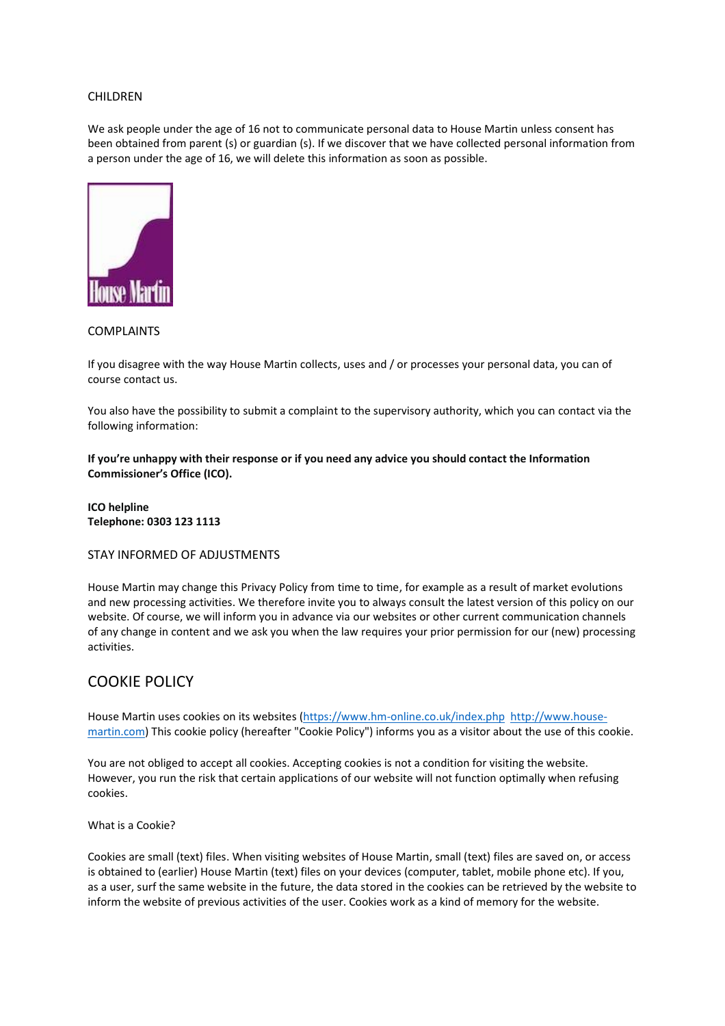#### CHILDREN

We ask people under the age of 16 not to communicate personal data to House Martin unless consent has been obtained from parent (s) or guardian (s). If we discover that we have collected personal information from a person under the age of 16, we will delete this information as soon as possible.



## COMPLAINTS

If you disagree with the way House Martin collects, uses and / or processes your personal data, you can of course contact us.

You also have the possibility to submit a complaint to the supervisory authority, which you can contact via the following information:

**If you're unhappy with their response or if you need any advice you should contact the Information Commissioner's Office (ICO).**

**ICO helpline Telephone: 0303 123 1113**

## STAY INFORMED OF ADJUSTMENTS

House Martin may change this Privacy Policy from time to time, for example as a result of market evolutions and new processing activities. We therefore invite you to always consult the latest version of this policy on our website. Of course, we will inform you in advance via our websites or other current communication channels of any change in content and we ask you when the law requires your prior permission for our (new) processing activities.

## COOKIE POLICY

House Martin uses cookies on its websites [\(https://www.hm-online.co.uk/index.php](https://www.hm-online.co.uk/index.php) [http://www.house](http://www.house-martin.com/)[martin.com\)](http://www.house-martin.com/) This cookie policy (hereafter "Cookie Policy") informs you as a visitor about the use of this cookie.

You are not obliged to accept all cookies. Accepting cookies is not a condition for visiting the website. However, you run the risk that certain applications of our website will not function optimally when refusing cookies.

What is a Cookie?

Cookies are small (text) files. When visiting websites of House Martin, small (text) files are saved on, or access is obtained to (earlier) House Martin (text) files on your devices (computer, tablet, mobile phone etc). If you, as a user, surf the same website in the future, the data stored in the cookies can be retrieved by the website to inform the website of previous activities of the user. Cookies work as a kind of memory for the website.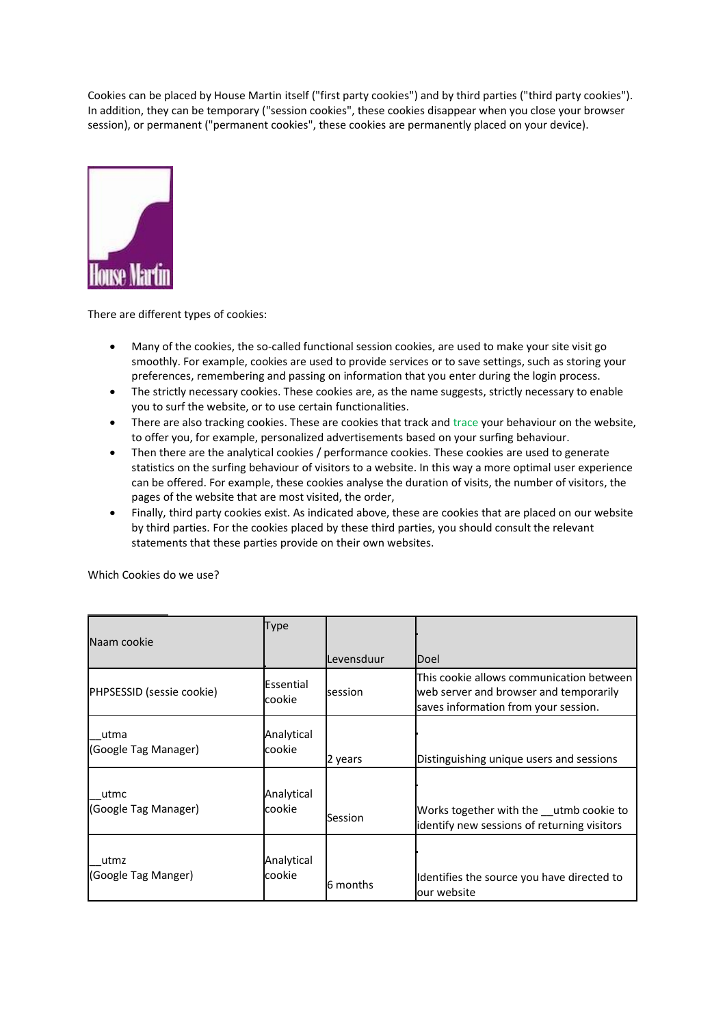Cookies can be placed by House Martin itself ("first party cookies") and by third parties ("third party cookies"). In addition, they can be temporary ("session cookies", these cookies disappear when you close your browser session), or permanent ("permanent cookies", these cookies are permanently placed on your device).



There are different types of cookies:

- Many of the cookies, the so-called functional session cookies, are used to make your site visit go smoothly. For example, cookies are used to provide services or to save settings, such as storing your preferences, remembering and passing on information that you enter during the login process.
- The strictly necessary cookies. These cookies are, as the name suggests, strictly necessary to enable you to surf the website, or to use certain functionalities.
- There are also tracking cookies. These are cookies that track and trace your behaviour on the website, to offer you, for example, personalized advertisements based on your surfing behaviour.
- Then there are the analytical cookies / performance cookies. These cookies are used to generate statistics on the surfing behaviour of visitors to a website. In this way a more optimal user experience can be offered. For example, these cookies analyse the duration of visits, the number of visitors, the pages of the website that are most visited, the order,
- Finally, third party cookies exist. As indicated above, these are cookies that are placed on our website by third parties. For the cookies placed by these third parties, you should consult the relevant statements that these parties provide on their own websites.

| Naam cookie                  | <b>Type</b>          |            |                                                                                                                            |
|------------------------------|----------------------|------------|----------------------------------------------------------------------------------------------------------------------------|
|                              |                      | Levensduur | Doel                                                                                                                       |
| PHPSESSID (sessie cookie)    | Essential<br>cookie  | session    | This cookie allows communication between<br>web server and browser and temporarily<br>saves information from your session. |
| utma<br>(Google Tag Manager) | Analytical<br>cookie | 2 years    | Distinguishing unique users and sessions                                                                                   |
| utmc<br>(Google Tag Manager) | Analytical<br>cookie | Session    | Works together with the utmb cookie to<br>identify new sessions of returning visitors                                      |
| utmz<br>(Google Tag Manger)  | Analytical<br>cookie | 6 months   | Identifies the source you have directed to<br>lour website                                                                 |

Which Cookies do we use?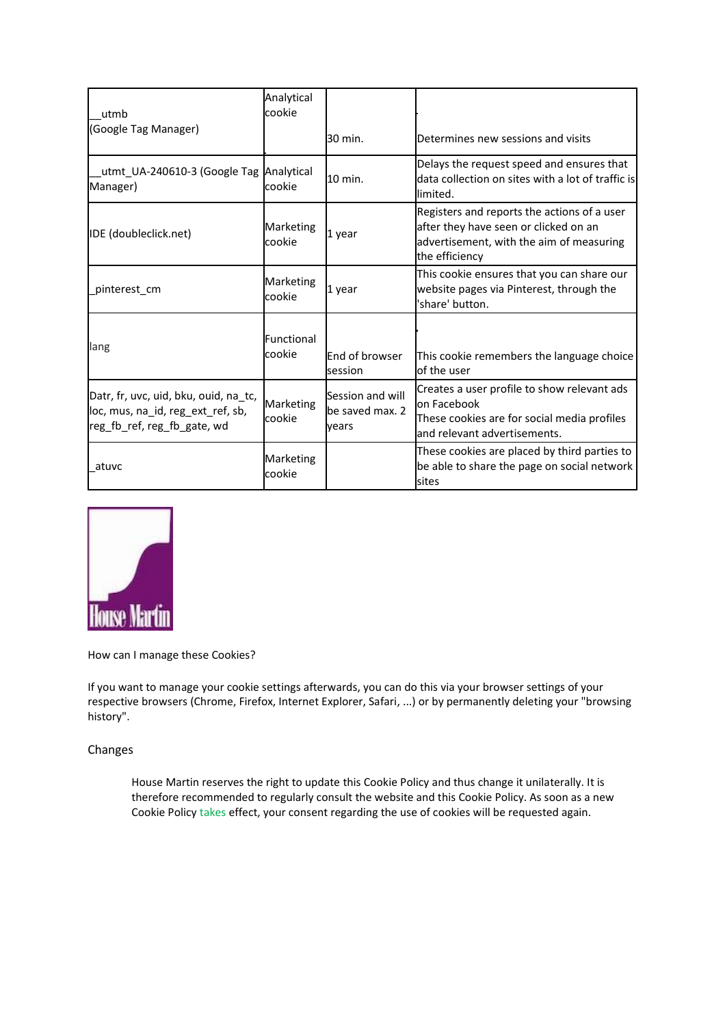| utmb<br>(Google Tag Manager)                                                                              | Analytical<br>cookie |                                              |                                                                                                                                                    |
|-----------------------------------------------------------------------------------------------------------|----------------------|----------------------------------------------|----------------------------------------------------------------------------------------------------------------------------------------------------|
|                                                                                                           |                      | 30 min.                                      | Determines new sessions and visits                                                                                                                 |
| utmt_UA-240610-3 (Google Tag Analytical<br>Manager)                                                       | cookie               | 10 min.                                      | Delays the request speed and ensures that<br>data collection on sites with a lot of traffic is<br>limited.                                         |
| IDE (doubleclick.net)                                                                                     | Marketing<br>cookie  | 1 year                                       | Registers and reports the actions of a user<br>after they have seen or clicked on an<br>advertisement, with the aim of measuring<br>the efficiency |
| pinterest cm                                                                                              | Marketing<br>cookie  | 1 year                                       | This cookie ensures that you can share our<br>website pages via Pinterest, through the<br>share' button.                                           |
| lang                                                                                                      | Functional<br>cookie | End of browser<br>session                    | This cookie remembers the language choice<br>of the user                                                                                           |
| Datr, fr, uvc, uid, bku, ouid, na_tc,<br>loc, mus, na_id, reg_ext_ref, sb,<br>reg_fb_ref, reg_fb_gate, wd | Marketing<br>cookie  | Session and will<br>be saved max. 2<br>vears | Creates a user profile to show relevant ads<br>on Facebook<br>These cookies are for social media profiles<br>and relevant advertisements.          |
| atuvc                                                                                                     | Marketing<br>cookie  |                                              | These cookies are placed by third parties to<br>be able to share the page on social network<br>sites                                               |



How can I manage these Cookies?

If you want to manage your cookie settings afterwards, you can do this via your browser settings of your respective browsers (Chrome, Firefox, Internet Explorer, Safari, ...) or by permanently deleting your "browsing history".

## Changes

House Martin reserves the right to update this Cookie Policy and thus change it unilaterally. It is therefore recommended to regularly consult the website and this Cookie Policy. As soon as a new Cookie Policy takes effect, your consent regarding the use of cookies will be requested again.